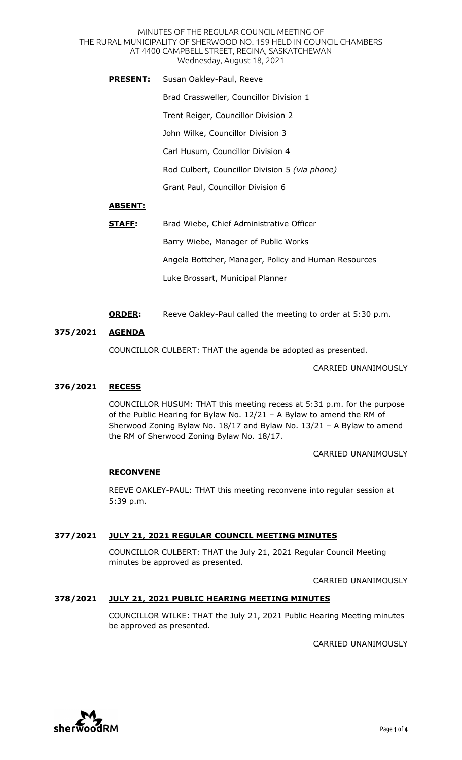MINUTES OF THE REGULAR COUNCIL MEETING OF THE RURAL MUNICIPALITY OF SHERWOOD NO. 159 HELD IN COUNCIL CHAMBERS AT 4400 CAMPBELL STREET, REGINA, SASKATCHEWAN Wednesday, August 18, 2021

**PRESENT:** Susan Oakley-Paul, Reeve Brad Crassweller, Councillor Division 1 Trent Reiger, Councillor Division 2 John Wilke, Councillor Division 3 Carl Husum, Councillor Division 4 Rod Culbert, Councillor Division 5 *(via phone)*  Grant Paul, Councillor Division 6

# **ABSENT:**

- **STAFF:** Brad Wiebe, Chief Administrative Officer Barry Wiebe, Manager of Public Works Angela Bottcher, Manager, Policy and Human Resources Luke Brossart, Municipal Planner
- **ORDER:** Reeve Oakley-Paul called the meeting to order at 5:30 p.m.

### **375/2021 AGENDA**

COUNCILLOR CULBERT: THAT the agenda be adopted as presented.

CARRIED UNANIMOUSLY

### **376/2021 RECESS**

COUNCILLOR HUSUM: THAT this meeting recess at 5:31 p.m. for the purpose of the Public Hearing for Bylaw No. 12/21 – A Bylaw to amend the RM of Sherwood Zoning Bylaw No. 18/17 and Bylaw No. 13/21 – A Bylaw to amend the RM of Sherwood Zoning Bylaw No. 18/17.

CARRIED UNANIMOUSLY

#### **RECONVENE**

REEVE OAKLEY-PAUL: THAT this meeting reconvene into regular session at 5:39 p.m.

# **377/2021 JULY 21, 2021 REGULAR COUNCIL MEETING MINUTES**

COUNCILLOR CULBERT: THAT the July 21, 2021 Regular Council Meeting minutes be approved as presented.

CARRIED UNANIMOUSLY

# **378/2021 JULY 21, 2021 PUBLIC HEARING MEETING MINUTES**

COUNCILLOR WILKE: THAT the July 21, 2021 Public Hearing Meeting minutes be approved as presented.

CARRIED UNANIMOUSLY

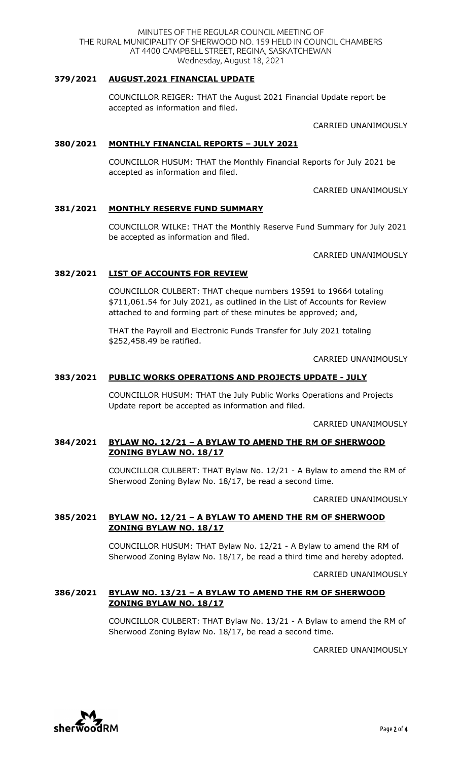# **379/2021 AUGUST.2021 FINANCIAL UPDATE**

COUNCILLOR REIGER: THAT the August 2021 Financial Update report be accepted as information and filed.

CARRIED UNANIMOUSLY

#### **380/2021 MONTHLY FINANCIAL REPORTS – JULY 2021**

COUNCILLOR HUSUM: THAT the Monthly Financial Reports for July 2021 be accepted as information and filed.

CARRIED UNANIMOUSLY

### **381/2021 MONTHLY RESERVE FUND SUMMARY**

COUNCILLOR WILKE: THAT the Monthly Reserve Fund Summary for July 2021 be accepted as information and filed.

CARRIED UNANIMOUSLY

#### **382/2021 LIST OF ACCOUNTS FOR REVIEW**

COUNCILLOR CULBERT: THAT cheque numbers 19591 to 19664 totaling \$711,061.54 for July 2021, as outlined in the List of Accounts for Review attached to and forming part of these minutes be approved; and,

THAT the Payroll and Electronic Funds Transfer for July 2021 totaling \$252,458.49 be ratified.

CARRIED UNANIMOUSLY

#### **383/2021 PUBLIC WORKS OPERATIONS AND PROJECTS UPDATE - JULY**

COUNCILLOR HUSUM: THAT the July Public Works Operations and Projects Update report be accepted as information and filed.

CARRIED UNANIMOUSLY

#### **384/2021 BYLAW NO. 12/21 – A BYLAW TO AMEND THE RM OF SHERWOOD ZONING BYLAW NO. 18/17**

COUNCILLOR CULBERT: THAT Bylaw No. 12/21 - A Bylaw to amend the RM of Sherwood Zoning Bylaw No. 18/17, be read a second time.

CARRIED UNANIMOUSLY

### **385/2021 BYLAW NO. 12/21 – A BYLAW TO AMEND THE RM OF SHERWOOD ZONING BYLAW NO. 18/17**

COUNCILLOR HUSUM: THAT Bylaw No. 12/21 - A Bylaw to amend the RM of Sherwood Zoning Bylaw No. 18/17, be read a third time and hereby adopted.

CARRIED UNANIMOUSLY

### **386/2021 BYLAW NO. 13/21 – A BYLAW TO AMEND THE RM OF SHERWOOD ZONING BYLAW NO. 18/17**

COUNCILLOR CULBERT: THAT Bylaw No. 13/21 - A Bylaw to amend the RM of Sherwood Zoning Bylaw No. 18/17, be read a second time.

CARRIED UNANIMOUSLY

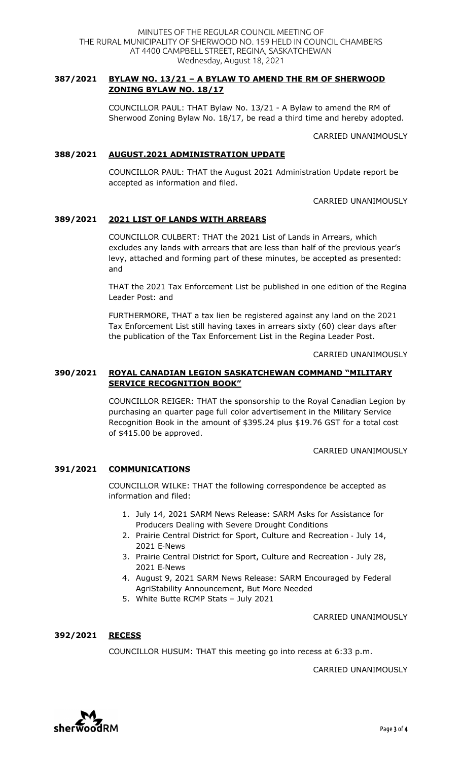# **387/2021 BYLAW NO. 13/21 – A BYLAW TO AMEND THE RM OF SHERWOOD ZONING BYLAW NO. 18/17**

COUNCILLOR PAUL: THAT Bylaw No. 13/21 - A Bylaw to amend the RM of Sherwood Zoning Bylaw No. 18/17, be read a third time and hereby adopted.

CARRIED UNANIMOUSLY

# **388/2021 AUGUST.2021 ADMINISTRATION UPDATE**

COUNCILLOR PAUL: THAT the August 2021 Administration Update report be accepted as information and filed.

CARRIED UNANIMOUSLY

# **389/2021 2021 LIST OF LANDS WITH ARREARS**

COUNCILLOR CULBERT: THAT the 2021 List of Lands in Arrears, which excludes any lands with arrears that are less than half of the previous year's levy, attached and forming part of these minutes, be accepted as presented: and

THAT the 2021 Tax Enforcement List be published in one edition of the Regina Leader Post: and

FURTHERMORE, THAT a tax lien be registered against any land on the 2021 Tax Enforcement List still having taxes in arrears sixty (60) clear days after the publication of the Tax Enforcement List in the Regina Leader Post.

CARRIED UNANIMOUSLY

# **390/2021 ROYAL CANADIAN LEGION SASKATCHEWAN COMMAND "MILITARY SERVICE RECOGNITION BOOK"**

COUNCILLOR REIGER: THAT the sponsorship to the Royal Canadian Legion by purchasing an quarter page full color advertisement in the Military Service Recognition Book in the amount of \$395.24 plus \$19.76 GST for a total cost of \$415.00 be approved.

#### CARRIED UNANIMOUSLY

# **391/2021 COMMUNICATIONS**

COUNCILLOR WILKE: THAT the following correspondence be accepted as information and filed:

- 1. July 14, 2021 SARM News Release: SARM Asks for Assistance for Producers Dealing with Severe Drought Conditions
- 2. Prairie Central District for Sport, Culture and Recreation July 14, 2021 E-News
- 3. Prairie Central District for Sport, Culture and Recreation July 28, 2021 E-News
- 4. August 9, 2021 SARM News Release: SARM Encouraged by Federal AgriStability Announcement, But More Needed
- 5. White Butte RCMP Stats July 2021

CARRIED UNANIMOUSLY

# **392/2021 RECESS**

COUNCILLOR HUSUM: THAT this meeting go into recess at 6:33 p.m.

CARRIED UNANIMOUSLY